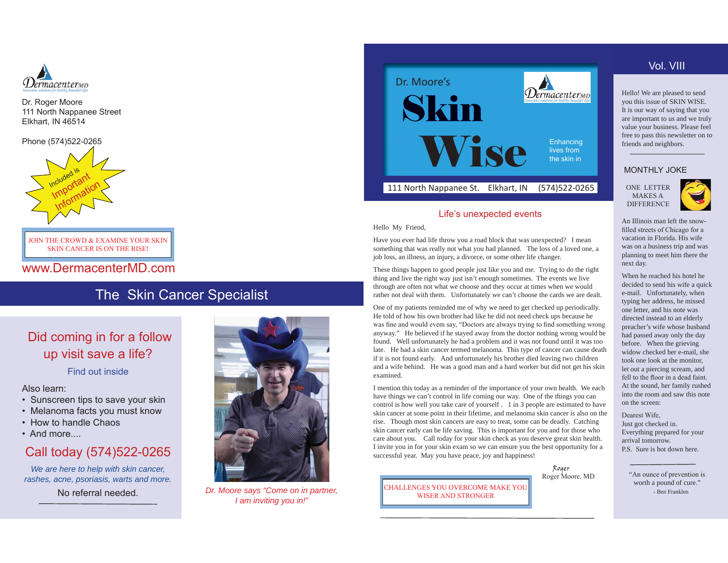

Dr. Roger Moore 111 North Nappanee Street Elkhart, IN 46514

Phone (574)522-0265



JOIN THE CROWD & EXAMINE YOUR SKIN SKIN CANCER IS ON THE RISE!

www.DermacenterMD.com

# The Skin Cancer Specialist

# Did coming in for a follow up visit save a life?

Find out inside

Also learn:

- Sunscreen tips to save your skin
- Melanoma facts you must know
- How to handle Chaos
- And more....

# Call today (574)522-0265

*We are here to help with skin cancer, rashes, acne, psoriasis, warts and more.*

No referral needed.



*Dr. Moore says "Come on in partner, I am inviting you in!"*



# Life's unexpected events

Hello My Friend,

Have you ever had life throw you a road block that was unexpected? I mean something that was really not what you had planned. The loss of a loved one, a job loss, an illness, an injury, a divorce, or some other life changer.

These things happen to good people just like you and me. Trying to do the right thing and live the right way just isn't enough sometimes. The events we live through are often not what we choose and they occur at times when we would rather not deal with them. Unfortunately we can't choose the cards we are dealt.

One of my patients reminded me of why we need to get checked up periodically. He told of how his own brother had like he did not need check ups because he was fine and would evem say, "Doctors are always trying to find something wrong anyway." He believed if he stayed away from the doctor nothing wrong would be found. Well unfortunately he had a problem and it was not found until it was too late. He had a skin cancer termed melanoma. This type of cancer can cause death if it is not found early. And unfortunately his brother died leaving two children and a wife behind. He was a good man and a hard worker but did not get his skin examined.

I mention this today as a reminder of the importance of your own health. We each have things we can't control in life coming our way. One of the things you can control is how well you take care of yourself . 1 in 3 people are estimated to have skin cancer at some point in their lifetime, and melanoma skin cancer is also on the rise. Though most skin cancers are easy to treat, some can be deadly. Catching skin cancer early can be life saving. This is important for you and for those who care about you. Call today for your skin check as you deserve great skin health. I invite you in for your skin exam so we can ensure you the best opportunity for a successful year. May you have peace, joy and happiness!

Roger<br>Roger Moore, MD

CHALLENGES YOU OVERCOME MAKE YOU WISER AND STRONGER

# Vol. VIII

Hello! We are pleased to send you this issue of SKIN WISE. It is our way of saying that you are important to us and we truly value your business. Please feel free to pass this newsletter on to friends and neighbors.

## MONTHLY JOKE

 ONE LETTER MAKES A DIFFERENCE



An Illinois man left the snow filled streets of Chicago for a vacation in Florida. His wife was on a business trip and was planning to meet him there the next day.

When he reached his hotel he decided to send his wife a quick e-mail. Unfortunately, when typing her address, he missed one letter, and his note was directed instead to an elderly preacher's wife whose husband had passed away only the day before. When the grieving widow checked her e-mail, she took one look at the monitor, let out a piercing scream, and fell to the floor in a dead faint. At the sound, her family rushed into the room and saw this note on the screen:

Dearest Wife. Just got checked in. Everything prepared for your arrival tomorrow. P.S. Sure is hot down here.

> "An ounce of prevention is worth a pound of cure." - Ben Franklen